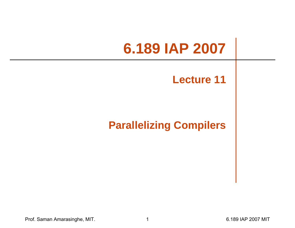# **6.189 IAP 2007**

#### **Lecture 11**

#### **Parallelizing Compilers**

Prof. Saman Amarasinghe, MIT. 1 6.189 IAP 2007 MIT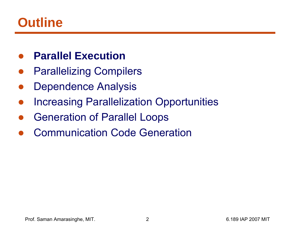## **Outline**

#### ●**Parallel Execution**

- ●Parallelizing Compilers
- ●Dependence Analysis
- ●Increasing Parallelization Opportunities
- ●Generation of Parallel Loops
- ●Communication Code Generation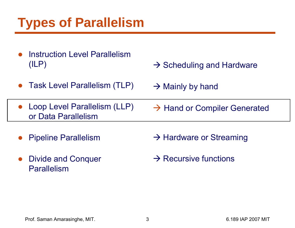## **Types of Parallelism**

- ● Instruction Level Parallelism (ILP)
- $\rightarrow$  Scheduling and Hardware
- ●Task Level Parallelism (TLP)
- $\rightarrow$  Mainly by hand
- ● Loop Level Parallelism (LLP) or Data Parallelism
	- $\rightarrow$  Hand or Compiler Generated

- ●Pipeline Parallelism
- $\bullet$  Divide and Conquer **Parallelism**
- $\rightarrow$  Hardware or Streaming
- $\rightarrow$  Recursive functions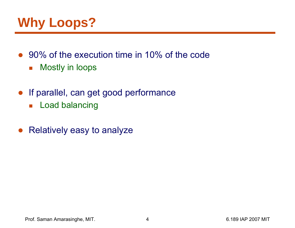# **Why Loops?**

- 90% of the execution time in 10% of the code  $\mathcal{L}_{\mathcal{A}}$ Mostly in loops
- If parallel, can get good performance
	- $\overline{\mathbb{R}^n}$ Load balancing
- ●Relatively easy to analyze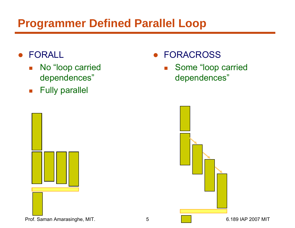#### **Programmer Defined Parallel Loop**

#### $\bullet$ FORALL

- $\mathcal{L}_{\mathcal{A}}$  No "loop carried dependences"
- $\overline{\mathbb{R}^n}$ Fully parallel
- $\bullet$  FORACROSS
	- $\mathcal{L}_{\mathcal{A}}$  Some "loop carried dependences"



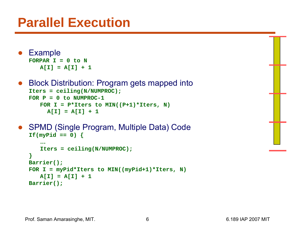## **Parallel Execution**

```
● Example
  FORPAR I = 0 to N
     A[I] = A[I] + 1
```

```
● Block Distribution: Program gets mapped into
  Iters = ceiling(N/NUMPROC);
  FOR P = 0 to NUMPROC-1FOR I = P*Iters to MIN((P+1)*Iters, N)A[I] = A[I] + 1
```

```
● SPMD (Single Program, Multiple Data) Code
  If (myPid == 0) {
```

```
…Iters = ceiling(N/NUMPROC);
}
Barrier();
FOR I = myPid*Iters to MIN((myPid+1)*Iters, N)
   A[I] = A[I] + 1
Barrier();
```
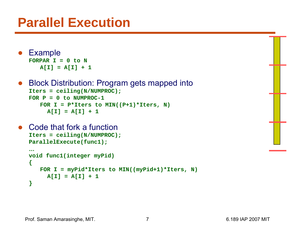## **Parallel Execution**

```
● Example
  FORPAR I = 0 to N
     A[I] = A[I] + 1
```

```
● Block Distribution: Program gets mapped into
  Iters = ceiling(N/NUMPROC);
  FOR P = 0 to NUMPROC-1FOR I = P*Iters to MIN((P+1)*Iters, N)A[I] = A[I] + 1
```

```
● Code that fork a function
   Iters = ceiling(N/NUMPROC);
   ParallelExecute(func1);
   …void func1(integer myPid)
   { 
      FOR I = myPid*Iters to MIN((myPid+1)*Iters, N)
        A[I] = A[I] + 1
   }
```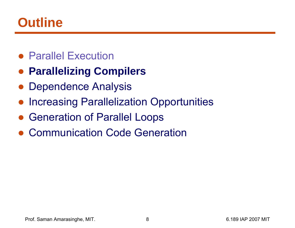## **Outline**

- Parallel Execution
- **Parallelizing Compilers**
- ●Dependence Analysis
- ●Increasing Parallelization Opportunities
- Generation of Parallel Loops
- ●Communication Code Generation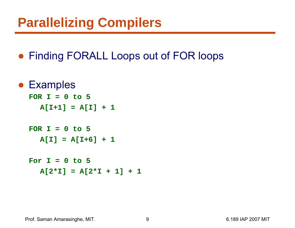## **Parallelizing Compilers**

● Finding FORALL Loops out of FOR loops

```
● Examples
  FOR I = 0 to 5A[I+1] = A[I] + 1
  FOR I = 0 to 5A[I] = A[I+6] + 1
  For I = 0 to 5A[2*I] = A[2*I + 1] + 1
```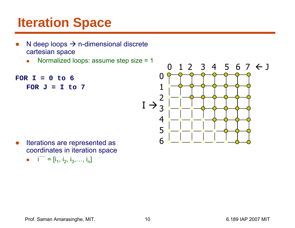- $\bullet$ • N deep loops  $\rightarrow$  n-dimensional discrete cartesian space
	- Normalized loops: assume step size = 1



- $\bullet$  Iterations are represented as coordinates in iteration space
	- $\blacksquare$   $\blacksquare$  = [i<sub>1</sub>, i<sub>2</sub>, i<sub>3</sub>, ..., i<sub>n</sub>]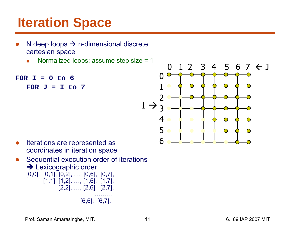- $\bullet$ • N deep loops  $\rightarrow$  n-dimensional discrete cartesian space
	- Normalized loops: assume step size = 1



- $\bullet$  Iterations are represented as coordinates in iteration space
- $\bullet$  Sequential execution order of iterations  $\rightarrow$  Lexicographic order [0,0], [0,1], [0,2], …, [0,6], [0,7],  $[1,1], [1,2], \ldots, [1,6], [1,7],$  $[2,2], \ldots, [2,6], [2,7],$ ………[6,6], [6,7],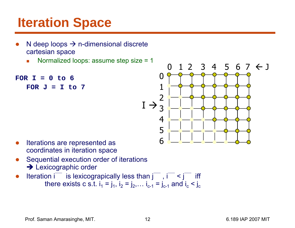- $\bullet$ • N deep loops  $\rightarrow$  n-dimensional discrete cartesian space
	- Normalized loops: assume step size = 1



- $\bullet$  Iterations are represented as coordinates in iteration space
- $\bullet$  Sequential execution order of iterations  $\rightarrow$  Lexicographic order
- $\bullet$  $\bullet$  Iteration i $\overline{\phantom{a}}$  $\overline{\phantom{a}}$  is lexicograpically less than j $\overline{\phantom{a}}$  $\overline{\phantom{a}}$  , i $\overline{\phantom{a}}$  $\overline{\phantom{a}}$  < j  $\overline{\phantom{a}}$  iff there exists c s.t.  $\mathsf{i_1} = \mathsf{j_1}, \ \mathsf{i_2} = \mathsf{j_2}, \ldots \ \mathsf{i_{c\text{-}1}} = \mathsf{j_{c\text{-}1}}$  and  $\mathsf{i_c} < \mathsf{j_c}$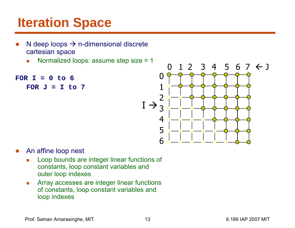- $\bullet$ • N deep loops  $\rightarrow$  n-dimensional discrete cartesian space
	- Normalized loops: assume step size = 1



- $\bullet$  An affine loop nest
	- П Loop bounds are integer linear functions of constants, loop constant variables and outer loop indexes
	- $\overline{\phantom{a}}$  Array accesses are integer linear functions of constants, loop constant variables and loop indexes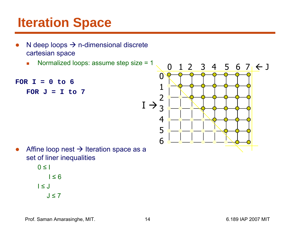- $\bullet$ • N deep loops  $\rightarrow$  n-dimensional discrete cartesian space
	- $\mathcal{L}_{\mathcal{A}}$ Normalized loops: assume step size = 1

**FOR I = 0 to 6FOR J = I to 7**



●• Affine loop nest  $\rightarrow$  Iteration space as a set of liner inequalities

$$
0 \leq 1
$$
  

$$
1 \leq 6
$$
  

$$
1 \leq J
$$
  

$$
J \leq 7
$$

Prof. Saman Amarasinghe, MIT. 14 14 6.189 IAP 2007 MIT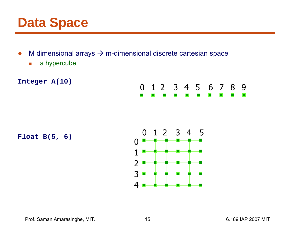## **Data Space**

- $\bullet$  $\bullet$  M dimensional arrays  $\rightarrow$  m-dimensional discrete cartesian space
	- $\overline{\mathbb{R}^n}$ a hypercube





Prof. Saman Amarasinghe, MIT. 15 15 15 16.189 IAP 2007 MIT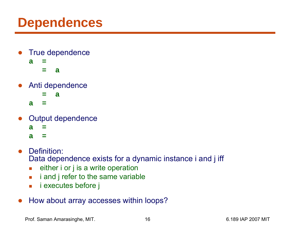## **Dependences**

- ● True dependence
	- **a =**
		- **= a**
- $\bullet$  Anti dependence
	- **= a**
	- **a =**
- $\bullet$  Output dependence
	- **a =**
	- **a =**
- $\bullet$  Definition: Data dependence exists for a dynamic instance i and j iff
	- $\mathcal{L}_{\mathcal{A}}$ either i or j is a write operation
	- $\mathcal{L}_{\mathcal{A}}$ i and j refer to the same variable
	- $\blacksquare$ i executes before j
- ●How about array accesses within loops?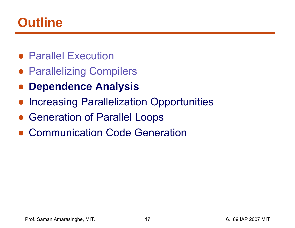## **Outline**

- Parallel Execution
- Parallelizing Compilers
- ●**Dependence Analysis**
- ●Increasing Parallelization Opportunities
- Generation of Parallel Loops
- ●Communication Code Generation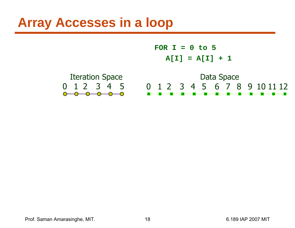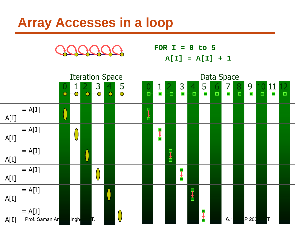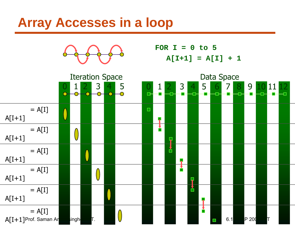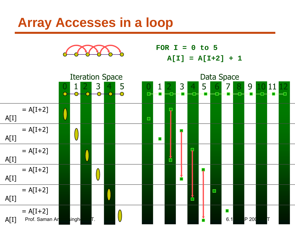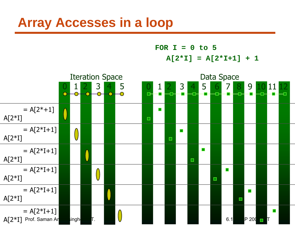

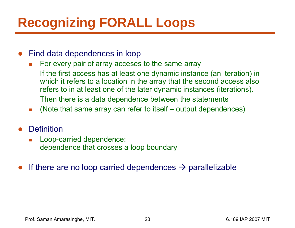# **Recognizing FORALL Loops**

- ● Find data dependences in loop
	- $\mathcal{L}_{\mathcal{A}}$  For every pair of array acceses to the same array
		- If the first access has at least one dynamic instance (an iteration) in which it refers to a location in the array that the second access also refers to in at least one of the later dynamic instances (iterations). Then there is a data dependence between the statements
	- $\overline{\phantom{a}}$ (Note that same array can refer to itself – output dependences)
- ● Definition
	- $\overline{\phantom{a}}$  Loop-carried dependence: dependence that crosses a loop boundary
- ●• If there are no loop carried dependences  $\rightarrow$  parallelizable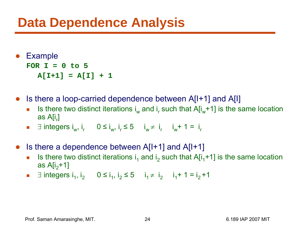## **Data Dependence Analysis**

- $\bullet$  Example **FOR I = 0 to 5A[I+1] = A[I] + 1**
- $\bullet$  Is there a loop-carried dependence between A[I+1] and A[I]
	- П **I** Is there two distinct iterations i<sub>w</sub> and i<sub>r</sub> such that A[i<sub>w</sub>+1] is the same location as A[i<sub>r</sub>]
	- ∃integers i<sub>w</sub>, i<sub>r</sub> 0 ≤ i<sub>w</sub>, i<sub>r</sub> ≤ 5 i<sub>w</sub> ≠ i<sub>r</sub> i<sub>w</sub>+ 1 = i<sub>r</sub>
- $\bullet$  Is there a dependence between A[I+1] and A[I+1]
	- **Iom** Is there two distinct iterations i<sub>1</sub> and i<sub>2</sub> such that A[i<sub>1</sub>+1] is the same location as A[i<sub>2</sub>+1]
	- ∃ integers  $i_1$ ,  $i_2$  0 ≤  $i_1$ ,  $i_2$  ≤ 5  $i_1 \neq i_2$   $i_1$ + 1 =  $i_2$  +1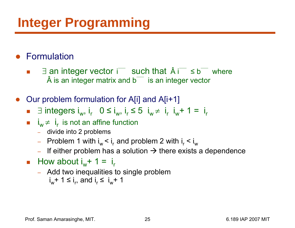## **Integer Programming**

- Formulation
	- $\exists$  an integer vector  $\mathsf{i}^-$  such that  $\mathsf{\hat{A}}\mathsf{i}^-$  ≤ b where  $\mathsf{\hat{A}}$  is an integer matrix and b $\overline{\phantom{a}}$ is an integer vector
- $\bullet$  Our problem formulation for A[i] and A[i+1]
	- ∃ integers i<sub>w</sub>, i<sub>r</sub> 0 ≤ i<sub>w</sub>, i<sub>r</sub> ≤ 5 i<sub>w</sub> ≠ i<sub>r</sub> i<sub>w</sub>+ 1 = i<sub>r</sub>
	- $i_w \neq i_r$  is not an affine function
		- divide into 2 problems
		- $-$  Problem 1 with i $_{\textrm{w}}$  < i $_{\textrm{r}}$  and problem 2 with i $_{\textrm{r}}$  < i $_{\textrm{w}}$
		- $\;$  If either problem has a solution  $\rightarrow$  there exists a dependence
	- **How about i**<sub>w</sub>+ 1 =  $i_{\text{r}}$ 
		- Add two inequalities to single problem
			- ii<sub>w</sub>+ 1 ≤ i<sub>r</sub>, and i<sub>r</sub> ≤ i<sub>w</sub>+ 1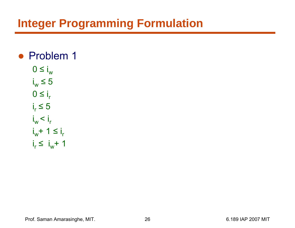#### **Integer Programming Formulation**

#### • Problem 1

$$
0 \le i_w
$$
  
\n
$$
i_w \le 5
$$
  
\n
$$
0 \le i_r
$$
  
\n
$$
i_r \le 5
$$
  
\n
$$
i_w < i_r
$$
  
\n
$$
i_w + 1 \le i_r
$$
  
\n
$$
i_r \le i_w + 1
$$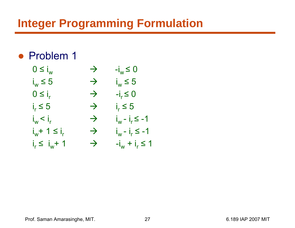#### **Integer Programming Formulation**

#### • Problem 1

| $0 \leq i_{w}$         | $\rightarrow$ | $-i_w \leq 0$      |
|------------------------|---------------|--------------------|
| $i_{\text{w}} \leq 5$  | $\rightarrow$ | $i_{w} \leq 5$     |
| $0 \leq i_r$           | $\rightarrow$ | $-ir \leq 0$       |
| $i_{\rm r} \leq 5$     | $\rightarrow$ | $i_{\rm r} \leq 5$ |
| $i_w < i_r$            | $\rightarrow$ | $i_w - i_r \le -1$ |
| $i_w + 1 \le i_r$      | $\rightarrow$ | $i_w - i_r \le -1$ |
| $i_{r} \leq i_{w} + 1$ | $\rightarrow$ | $-i_w + i_r \le 1$ |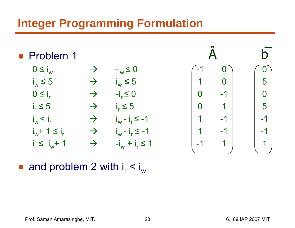#### **Integer Programming Formulation**

• Problem 1

| $0 \leq i_{w}$        | $\rightarrow$ | $-i_w \leq 0$      |      |      | $\overline{0}$ |
|-----------------------|---------------|--------------------|------|------|----------------|
| $i_w \leq 5$          | $\rightarrow$ | $i_w \leq 5$       |      |      | 5              |
| $0 \leq i_{r}$        | $\rightarrow$ | $-ir \leq 0$       |      | $-1$ | $\overline{0}$ |
| $i_{\rm r} \leq 5$    | $\rightarrow$ | $i_{\rm r} \leq 5$ |      |      | 5              |
| $i_w < i_r$           | $\rightarrow$ | $i_w - i_r \le -1$ |      | $-1$ | $-1$           |
| $i_w + 1 \leq i_r$    | $\rightarrow$ | $i_w - i_r \le -1$ |      | $-1$ | $-1$           |
| $i_{r} \le i_{w} + 1$ | $\rightarrow$ | $-i_w + i_r \le 1$ | $-1$ |      | 1              |



●• and problem 2 with  $i_r < i_w$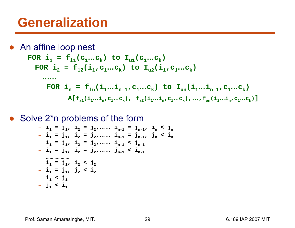## **Generalization**

• An affine loop nest  
\n
$$
\begin{aligned}\n\text{For } i_1 &= f_{11}(c_1...c_k) \text{ to } I_{u1}(c_1...c_k) \\
\text{FOR } i_2 &= f_{12}(i_1, c_1...c_k) \text{ to } I_{u2}(i_1, c_1...c_k) \\
&\vdots \\
\text{FOR } i_n &= f_{1n}(i_1...i_{n-1}, c_1...c_k) \text{ to } I_{un}(i_1...i_{n-1}, c_1...c_k) \\
&\text{A}[f_{a1}(i_1...i_n, c_1...c_k), f_{a2}(i_1...i_n, c_1...c_k), \dots, f_{an}(i_1...i_n, c_1...c_k)]\n\end{aligned}
$$

#### ●Solve 2\*n problems of the form

$$
- i_1 = j_1, i_2 = j_2, \dots, i_{n-1} = j_{n-1}, i_n < j_n
$$
  
\n
$$
- i_1 = j_1, i_2 = j_2, \dots, i_{n-1} = j_{n-1}, j_n < i_n
$$
  
\n
$$
- i_1 = j_1, i_2 = j_2, \dots, i_{n-1} < j_{n-1}
$$
  
\n
$$
- i_1 = j_1, i_2 = j_2, \dots, j_{n-1} < i_{n-1}
$$
  
\n
$$
- i_1 = j_1, i_2 < j_2
$$
  
\n
$$
- i_1 = j_1, j_2 < i_2
$$
  
\n
$$
- i_1 < j_1
$$
  
\n
$$
- j_1 < i_1
$$

Prof. Saman Amarasinghe, MIT. 29 29 6.189 IAP 2007 MIT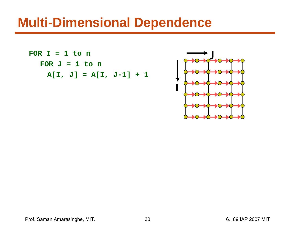## **Multi-Dimensional Dependence**

**FOR I = 1 to nFOR J = 1 to nA[I, J] = A[I, J-1] + 1**



Prof. Saman Amarasinghe, MIT. 30 6.189 IAP 2007 MIT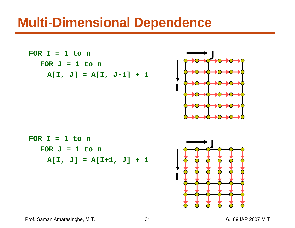## **Multi-Dimensional Dependence**

**FOR I = 1 to nJFOR J = 1 to nA[I, J] = A[I, J-1] + 1 IFOR I = 1 to nJFOR J = 1 to nA[I, J] = A[I+1, J] + 1 I**

Prof. Saman Amarasinghe, MIT. 2007 18: 31 6.189 IAP 2007 MIT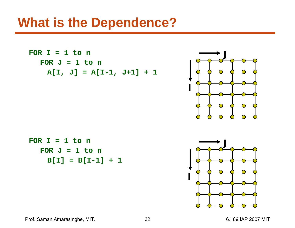## **What is the Dependence?**

```
FOR I = 1 to nFOR J = 1 to nA[I, J] = A[I-1, J+1] + 1
FOR I = 1 to nFOR J = 1 to nB[I] = B[I-1] + 1
```




Prof. Saman Amarasinghe, MIT. 2007 18: 32 6.189 IAP 2007 MIT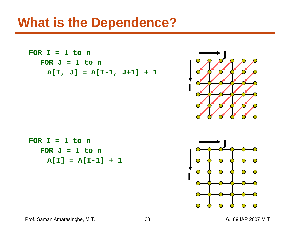## **What is the Dependence?**

```
FOR I = 1 to n
  FOR J = 1 to nA[I, J] = A[I-1, J+1] + 1
```




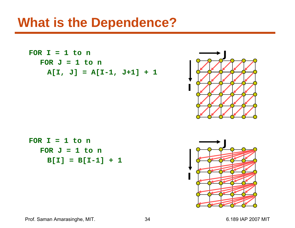## **What is the Dependence?**

**FOR I = 1 to nFOR J = 1 to nA[I, J] = A[I-1, J+1] + 1**



**FOR I = 1 to nFOR J = 1 to nB[I] = B[I-1] + 1**

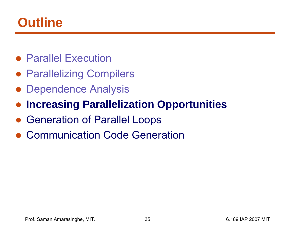## **Outline**

- Parallel Execution
- Parallelizing Compilers
- Dependence Analysis
- ●**Increasing Parallelization Opportunities**
- Generation of Parallel Loops
- Communication Code Generation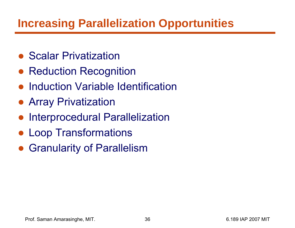#### **Increasing Parallelization Opportunities**

- Scalar Privatization
- ●Reduction Recognition
- ●Induction Variable Identification
- Array Privatization
- ●Interprocedural Parallelization
- Loop Transformations
- ●Granularity of Parallelism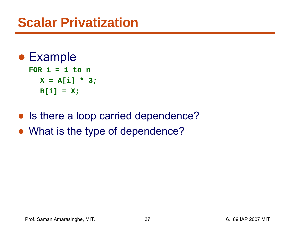#### ● Example

FOR i = 1 to n  

$$
X = A[i] * 3;
$$
  
B[i] = X;

- Is there a loop carried dependence?
- What is the type of dependence?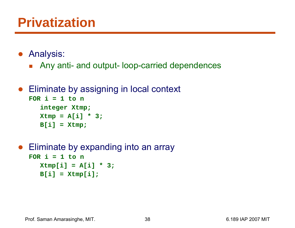## **Privatization**

- ● Analysis:
	- Any anti- and output- loop-carried dependences

```
● Eliminate by assigning in local context
  FOR i = 1 to n
     integer Xtmp;
     Xtmp = A[i] * 3;
     B[i] = Xtmp;
```
 $\bullet$  Eliminate by expanding into an array FOR  $i = 1$  to n **Xtmp[i] = A[i] \* 3;**  $B[i] = Xtmp[i];$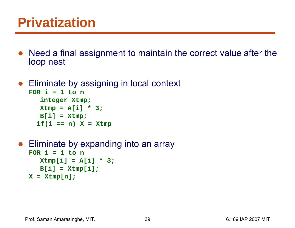## **Privatization**

- Need a final assignment to maintain the correct value after the loop nest
- Eliminate by assigning in local context

```
FOR i = 1 to n
  integer Xtmp;
  Xtmp = A[i] * 3;B[i] = Xtmp;
  if(i == n) X = Xtmp
```

```
● Eliminate by expanding into an array
  FOR i = 1 to nXtmp[i] = A[i] * 3;
     B[i] = Xtmp[i];
  X = Xtmp[n];
```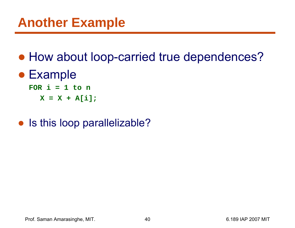• How about loop-carried true dependences?

#### ● Example

FOR  $i = 1$  to n

**X = X + A[i];**

#### • Is this loop parallelizable?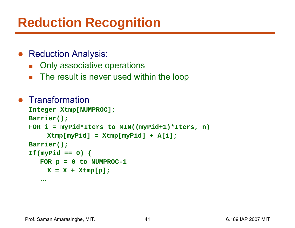## **Reduction Recognition**

- Reduction Analysis:
	- **Diangle 3 Diany associative operations**
	- The result is never used within the loop

```
• Transformation
  Integer Xtmp[NUMPROC];
  Barrier();
  FOR i = myPid*Iters to MIN((myPid+1)*Iters, n)
       Xtmp[myPid] = Xtmp[myPid] + A[i];
  Barrier();
  If (myPid == 0)FOR p = 0 to NUMPROC-1
       X = X + Xtmp[p];
     …
```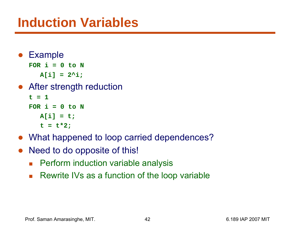## **Induction Variables**

- Example FOR  $i = 0$  to N **A[i] = 2^i;**
- After strength reduction

```
t = 1FOR i = 0 to N
  A[i] = t;
  t = t*2;
```
- What happened to loop carried dependences?
- Need to do opposite of this!
	- **Perform induction variable analysis**
	- Rewrite IVs as a function of the loop variable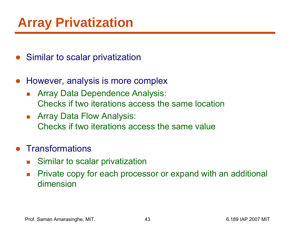## **Array Privatization**

- Similar to scalar privatization
- ● However, analysis is more complex
	- $\mathbb{R}^2$  Array Data Dependence Analysis: Checks if two iterations access the same location
	- Array Data Flow Analysis: Checks if two iterations access the same value
- ●**Transformations** 
	- M. Similar to scalar privatization
	- $\mathbb{R}^2$  Private copy for each processor or expand with an additional dimension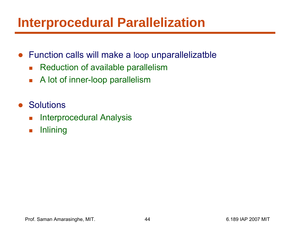## **Interprocedural Parallelization**

- ● Function calls will make a loop unparallelizatble
	- $\overline{\phantom{a}}$ Reduction of available parallelism
	- $\mathcal{L}^{\text{max}}$ A lot of inner-loop parallelism
- $\bullet$ **Solutions** 
	- **I** Interprocedural Analysis
	- $\mathcal{C}^{\mathcal{A}}$ **Inlining**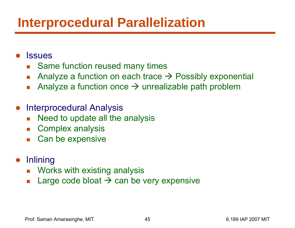## **Interprocedural Parallelization**

- $\bullet$ **Issues** 
	- **Same function reused many times**
	- $\overline{\mathcal{A}}$ Analyze a function on each trace  $\rightarrow$  Possibly exponential
	- $\mathbb{R}^n$ Analyze a function once  $\rightarrow$  unrealizable path problem
- ● Interprocedural Analysis
	- **Need to update all the analysis**
	- **Complex analysis**
	- M. Can be expensive
- ●**Inlining** 
	- $\mathbb{R}^n$ Works with existing analysis
	- $\mathbb{R}^n$ **Large code bloat**  $\rightarrow$  **can be very expensive**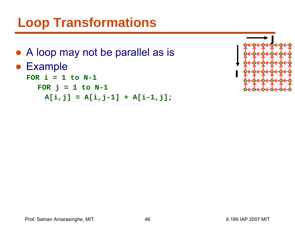## **Loop Transformations**

- A loop may not be parallel as is
- Example FOR  $i = 1$  to  $N-1$ FOR  $j = 1$  to  $N-1$ **A[i,j] = A[i,j-1] + A[i-1,j];**

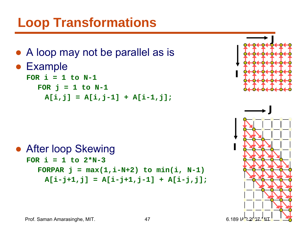## **Loop Transformations**

- A loop may not be parallel as is
- Example FOR  $i = 1$  to  $N-1$ FOR  $j = 1$  to  $N-1$ **A[i,j] = A[i,j-1] + A[i-1,j];**





**J**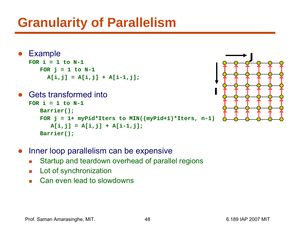## **Granularity of Parallelism**

```
● Example
  FOR i = 1 to N-1FOR j = 1 to N-1A[i,j] = A[i,j] + A[i-1,j];
```

```
\bullet Gets transformed into
  FOR i = 1 to N-1Barrier();
      FOR j = 1+ myPid*Iters to MIN((myPid+1)*Iters, n-1)
         A[i,j] = A[i,j] + A[i-1,j]; 
      Barrier();
```


- Г Startup and teardown overhead of parallel regions
- **Lot of synchronization**
- $\overline{\phantom{a}}$ Can even lead to slowdowns

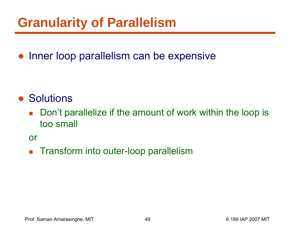## **Granularity of Parallelism**

●Inner loop parallelism can be expensive

- Solutions
	- $\mathcal{L}_{\mathcal{A}}$  Don't parallelize if the amount of work within the loop is too small

or

 $\overline{\mathbb{R}^n}$ Transform into outer-loop parallelism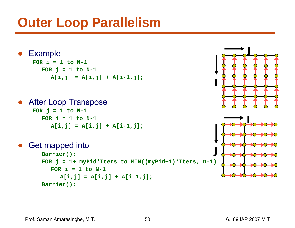## **Outer Loop Parallelism**

● Example FOR  $i = 1$  to  $N-1$  $FOR$   $j = 1$  to  $N-1$  $A[i, j] = A[i, j] + A[i-1, j];$ 

```
● After Loop Transpose
   FOR j = 1 to N-1FOR i = 1 to N-1A[i,j] = A[i,j] + A[i-1,j];
```

```
● Get mapped into
```

```
Barrier();
FOR j = 1+ myPid*Iters to MIN((myPid+1)*Iters, n-1)
  FOR i = 1 to N-1A[i, j] = A[i, j] + A[i-1, j];Barrier();
```


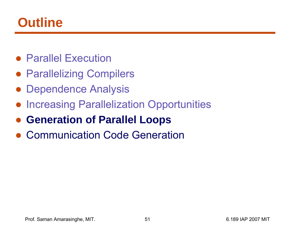## **Outline**

- Parallel Execution
- Parallelizing Compilers
- Dependence Analysis
- Increasing Parallelization Opportunities
- **Generation of Parallel Loops**
- Communication Code Generation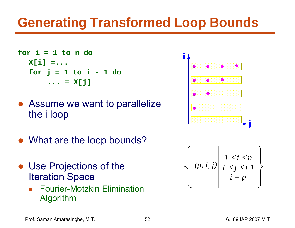## **Generating Transformed Loop Bounds**

for 
$$
i = 1
$$
 to n do  
\n $X[i] = \dots$   
\nfor  $j = 1$  to  $i - 1$  do  
\n $\dots = X[j]$ 

- Assume we want to parallelize the i loop
- ●What are the loop bounds?
- Use Projections of the Iteration Space
	- F Fourier-Motzkin Elimination Algorithm



$$
\left\{ (p, i, j) \middle| \begin{array}{c} 1 \leq i \leq n \\ 1 \leq j \leq i-1 \\ i = p \end{array} \right\}
$$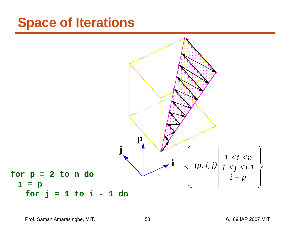## **Space of Iterations**

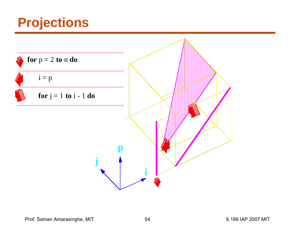## **Projections**

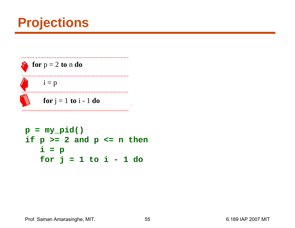## **Projections**



$$
p = my\_pid()
$$
  
if p >= 2 and p <= n then  
 $i = p$   
for j = 1 to i - 1 do

Prof. Saman Amarasinghe, MIT.  $\overline{55}$  55 6.189 IAP 2007 MIT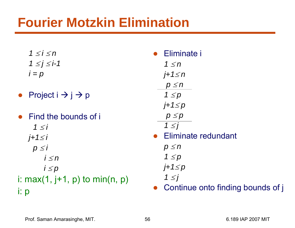# **Fourier Motzkin Elimination**

- *1* ≤ *i*  ≤*n1*  ≤ *j*  ≤ *i-1*  $i = p$
- ●• Project i  $\rightarrow$  j  $\rightarrow$  p
- ● Find the bounds of i
	- *1* ≤*ij+1* ≤ *i p*  ≤ *i*
		- *i* ≤*n*
- *i*  ≤ *p* i: max $(1, j+1, p)$  to min $(n, p)$ i: p
- Eliminate i *1* ≤*nj+1* ≤ *n p*  ≤ *n 1*  ≤ *p j+1* ≤ *p p*  ≤ *p 1*  ≤ *j* ● Eliminate redundant *p*  ≤ *n 1*  ≤ *p j+1* ≤ *p 1*  ≤ *j*
- ●Continue onto finding bounds of j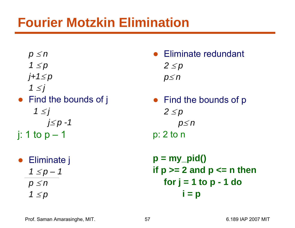## **Fourier Motzkin Elimination**

- *p*  ≤ *n*
- *1*  ≤ *p*
- *j+1* ≤ *p*
- *1*  ≤ *j*
- Find the bounds of j *1*  ≤ *j j*<sup>≤</sup> *p -1*
- j: 1 to  $p-1$
- Eliminate j *1*  ≤ *p – 1 p*  ≤ *n 1*  ≤ *p*
- Eliminate redundant *2*  ≤ *p p* ≤ *n*
- Find the bounds of p *2*  ≤ *p p* ≤ *n* p: 2 to n

$$
p = my\_pid()
$$
  
if p >= 2 and p <= n then  
for j = 1 to p - 1 do  
i = p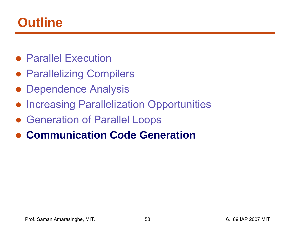## **Outline**

- Parallel Execution
- Parallelizing Compilers
- Dependence Analysis
- Increasing Parallelization Opportunities
- Generation of Parallel Loops
- **Communication Code Generation**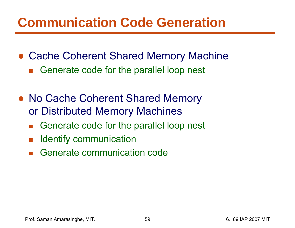## **Communication Code Generation**

- Cache Coherent Shared Memory Machine
	- **Generate code for the parallel loop nest**
- No Cache Coherent Shared Memory or Distributed Memory Machines
	- $\mathcal{L}_{\mathcal{A}}$ Generate code for the parallel loop nest
	- $\mathbb{R}^2$ Identify communication
	- **Example 2** Generate communication code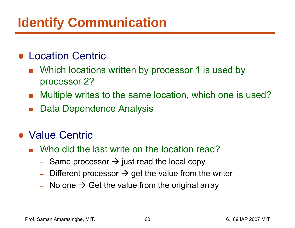# **Identify Communication**

#### ● Location Centric

- Which locations written by processor 1 is used by processor 2?
- $\mathcal{L}(\mathcal{A})$ Multiple writes to the same location, which one is used?
- $\mathcal{L}_{\mathcal{A}}$ Data Dependence Analysis

#### ● Value Centric

- Who did the last write on the location read?
	- ––  $\,$  Same processor  $\rightarrow$  just read the local copy
	- –– Different processor  $\rightarrow$  get the value from the writer
	- $\,$  No one  $\,\Rightarrow\,$  Get the value from the original array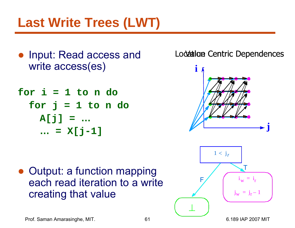# **Last Write Trees (LWT)**

● Input: Read access and write access(es)

**for i = 1 to n do**  $for j = 1 to n do$ **A[j] = … … = X[j-1]**

● Output: a function mapping each read iteration to a writecreating that value

#### Location Centric Dependences



⊥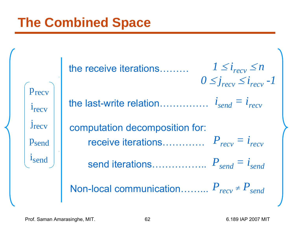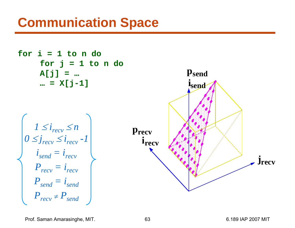## **Communication Space**



Prof. Saman Amarasinghe, MIT. 63 63 6.189 IAP 2007 MIT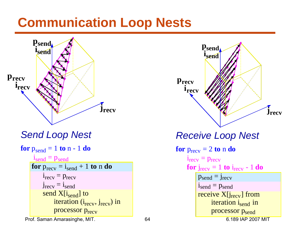# **Communication Loop Nests**



#### *Send Loop Nest*

| <b>for</b> $p_{send} = 1$ <b>to</b> $n - 1$ <b>do</b> |
|-------------------------------------------------------|
| $1_{send} = p_{send}$                                 |
| for $p_{\text{recv}} = i_{\text{send}} + 1$ to n do   |
| $1_{\text{recv}} = p_{\text{recv}}$                   |
| $J_{\text{recv}} = i_{\text{send}}$                   |
| send $X[i_{send}]$ to                                 |
| iteration $(irecv, jrecv)$ in                         |
| processor p <sub>recy</sub>                           |
| Prof. Saman Amarasinghe, MIT.                         |

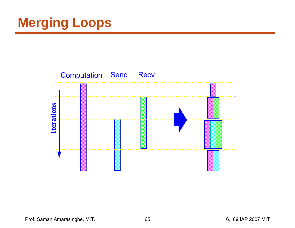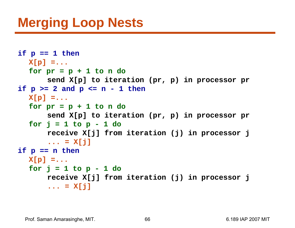## **Merging Loop Nests**

```
if p == 1 then
  X[p] =...
  for pr = p + 1 to n do
       send X[p] to iteration (pr, p) in processor pr
if p >= 2 and p <= n - 1 then
  X[p] =...
  for pr = p + 1 to n do
       send X[p] to iteration (pr, p) in processor pr
  for j = 1 to p - 1 do
       receive X[j] from iteration (j) in processor j
       ... = X[j]
if p == n then
  X[p] =...
  for j = 1 to p - 1 do
       receive X[j] from iteration (j) in processor j
       \cdot \cdot \cdot = X[i]
```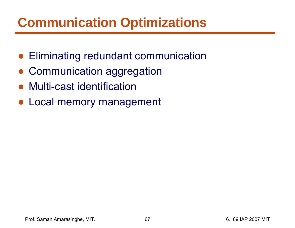# **Communication Optimizations**

- Eliminating redundant communication
- ●Communication aggregation
- Multi-cast identification
- Local memory management